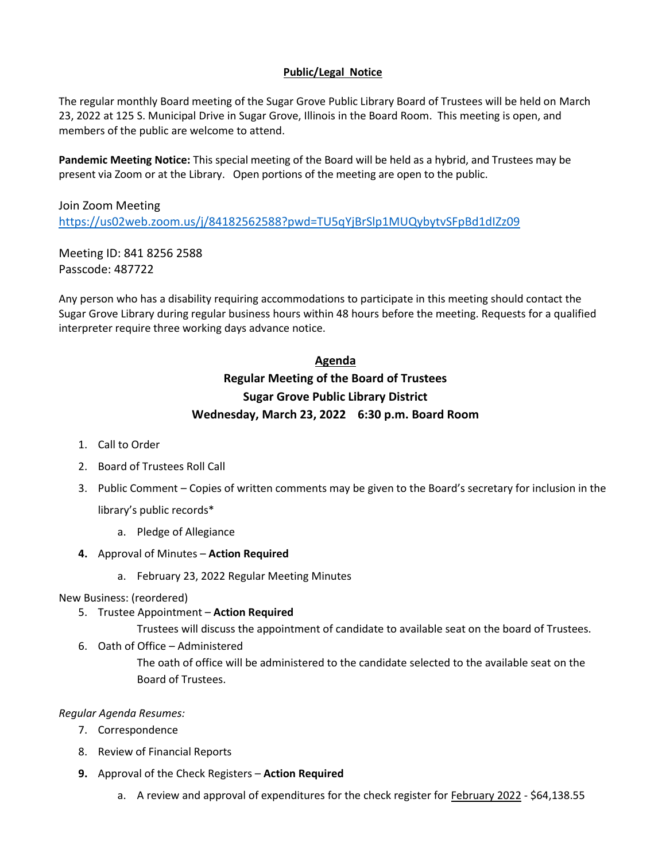## **Public/Legal Notice**

The regular monthly Board meeting of the Sugar Grove Public Library Board of Trustees will be held on March 23, 2022 at 125 S. Municipal Drive in Sugar Grove, Illinois in the Board Room. This meeting is open, and members of the public are welcome to attend.

**Pandemic Meeting Notice:** This special meeting of the Board will be held as a hybrid, and Trustees may be present via Zoom or at the Library. Open portions of the meeting are open to the public.

Join Zoom Meeting <https://us02web.zoom.us/j/84182562588?pwd=TU5qYjBrSlp1MUQybytvSFpBd1dIZz09>

Meeting ID: 841 8256 2588 Passcode: 487722

Any person who has a disability requiring accommodations to participate in this meeting should contact the Sugar Grove Library during regular business hours within 48 hours before the meeting. Requests for a qualified interpreter require three working days advance notice.

# **Agenda Regular Meeting of the Board of Trustees Sugar Grove Public Library District Wednesday, March 23, 2022 6:30 p.m. Board Room**

- 1. Call to Order
- 2. Board of Trustees Roll Call
- 3. Public Comment Copies of written comments may be given to the Board's secretary for inclusion in the library's public records\*
	- a. Pledge of Allegiance
- **4.** Approval of Minutes **Action Required**
	- a. February 23, 2022 Regular Meeting Minutes

### New Business: (reordered)

5. Trustee Appointment – **Action Required**

Trustees will discuss the appointment of candidate to available seat on the board of Trustees.

6. Oath of Office – Administered

The oath of office will be administered to the candidate selected to the available seat on the Board of Trustees.

## *Regular Agenda Resumes:*

- 7. Correspondence
- 8. Review of Financial Reports
- **9.** Approval of the Check Registers **Action Required**
	- a. A review and approval of expenditures for the check register for February 2022 \$64,138.55